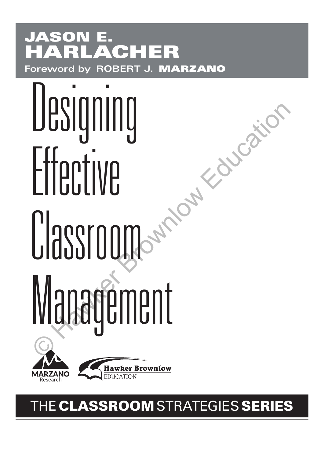## **JASON E. HARLACHER Foreword by ROBERT J. MARZANO**

# Designing Effective Classroom Management Designing<br>Effective<br>Classroom and Constant<br>Management



**Hawker Brownlow EDUCATION** 

## THE**CLASSROOM**STRATEGIES **SERIES**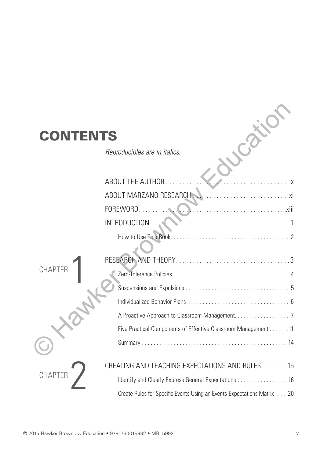## **CONTENTS**

| Reproducibles are in italics. |  |
|-------------------------------|--|
|                               |  |

| <b>CONTENTS</b> |                                                                         |  |
|-----------------|-------------------------------------------------------------------------|--|
|                 | Reproducibles are in italics.                                           |  |
|                 |                                                                         |  |
|                 | ABOUT THE AUTHOR<br>. İX                                                |  |
|                 | ABOUT MARZANO RESEARCH                                                  |  |
|                 | FOREWORD.                                                               |  |
|                 | <b>INTRODUCTION</b>                                                     |  |
|                 |                                                                         |  |
|                 |                                                                         |  |
| <b>CHAPTER</b>  |                                                                         |  |
|                 |                                                                         |  |
|                 |                                                                         |  |
|                 |                                                                         |  |
|                 | A Proactive Approach to Classroom Management. 7                         |  |
|                 | Five Practical Components of Effective Classroom Management 11          |  |
|                 |                                                                         |  |
|                 | CREATING AND TEACHING EXPECTATIONS AND RULES  15                        |  |
| <b>CHAPTER</b>  | Identify and Clearly Express General Expectations 16                    |  |
|                 | Create Rules for Specific Events Using an Events-Expectations Matrix 20 |  |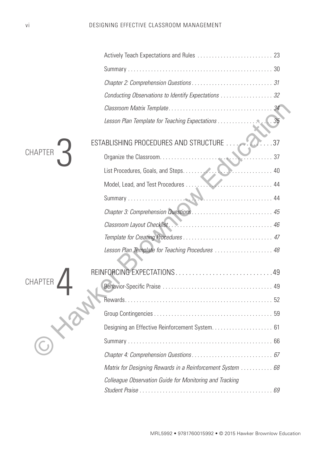|                | Conducting Observations to Identify Expectations 32        |             |
|----------------|------------------------------------------------------------|-------------|
|                |                                                            |             |
|                | Lesson Plan Template for Teaching Expectations             | $\cdot$ 35  |
|                | ESTABLISHING PROCEDURES AND STRUCTURE                      | $\ldots$ 37 |
| <b>CHAPTER</b> |                                                            |             |
|                |                                                            |             |
|                | $\sim$ 44<br>Model, Lead, and Test Procedures              |             |
|                |                                                            |             |
|                |                                                            |             |
|                |                                                            |             |
|                |                                                            |             |
|                | Lesson Plan Template for Teaching Procedures  48           |             |
|                |                                                            |             |
| CHAPTEF        |                                                            |             |
|                |                                                            |             |
|                |                                                            |             |
|                |                                                            |             |
|                |                                                            |             |
|                |                                                            |             |
|                | Matrix for Designing Rewards in a Reinforcement System  68 |             |
|                | Colleague Observation Guide for Monitoring and Tracking    |             |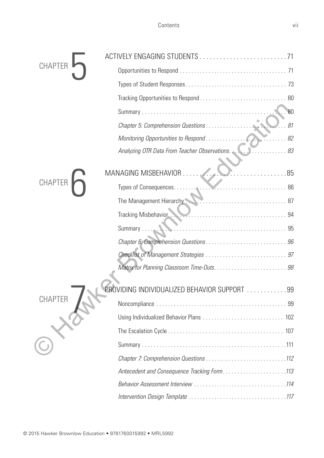| <b>CHAPTE</b>  |                                                                                                                                                                                                                                |     |
|----------------|--------------------------------------------------------------------------------------------------------------------------------------------------------------------------------------------------------------------------------|-----|
|                |                                                                                                                                                                                                                                |     |
|                |                                                                                                                                                                                                                                |     |
|                |                                                                                                                                                                                                                                |     |
|                |                                                                                                                                                                                                                                | 80  |
|                |                                                                                                                                                                                                                                | .81 |
|                |                                                                                                                                                                                                                                |     |
|                |                                                                                                                                                                                                                                |     |
|                |                                                                                                                                                                                                                                |     |
|                | MANAGING MISBEHAVIOR<br>85. 85                                                                                                                                                                                                 |     |
| CHAPTER        |                                                                                                                                                                                                                                |     |
|                | The Management Hierarchy                                                                                                                                                                                                       |     |
|                | Tracking Misbehavior. New Missourier and States and States and States and States and States and States and States and States and States and States and States and States and States and States and States and States and State |     |
|                | Summary                                                                                                                                                                                                                        |     |
|                |                                                                                                                                                                                                                                |     |
|                |                                                                                                                                                                                                                                |     |
|                |                                                                                                                                                                                                                                |     |
|                |                                                                                                                                                                                                                                |     |
|                | PROVIDING INDIVIDUALIZED BEHAVIOR SUPPORT 99                                                                                                                                                                                   |     |
| <b>CHAPTER</b> |                                                                                                                                                                                                                                |     |
|                |                                                                                                                                                                                                                                |     |
|                |                                                                                                                                                                                                                                |     |
|                |                                                                                                                                                                                                                                |     |
|                |                                                                                                                                                                                                                                |     |
|                | Antecedent and Consequence Tracking Form113                                                                                                                                                                                    |     |
|                |                                                                                                                                                                                                                                |     |
|                |                                                                                                                                                                                                                                |     |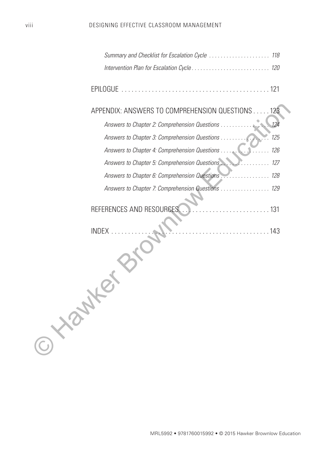| Summary and Checklist for Escalation Cycle  118         |     |
|---------------------------------------------------------|-----|
|                                                         |     |
| <b>EPILOGUE</b>                                         |     |
| APPENDIX: ANSWERS TO COMPREHENSION QUESTIONS            | 123 |
| Answers to Chapter 2: Comprehension Questions           | 124 |
| Answers to Chapter 3: Comprehension Questions           | 125 |
| Answers to Chapter 4: Comprehension Questions           | 126 |
| Answers to Chapter 5: Comprehension Questions           | 127 |
| Answers to Chapter 6: Comprehension Questions.<br>. 128 |     |
| Answers to Chapter 7: Comprehension Questions  129      |     |
| REFERENCES AND RESOURCES<br>. 131                       |     |
| <b>INDEX</b><br>O YONNE                                 |     |
|                                                         |     |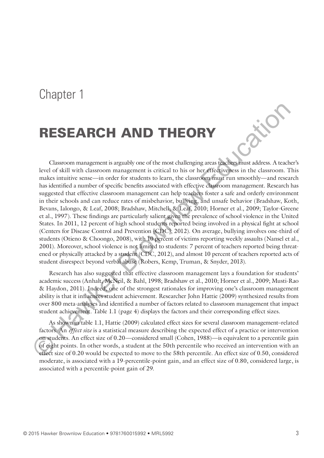### Chapter 1

## **RESEARCH AND THEORY**

Classroom management is arguably one of the most challenging areas teachers must address. A teacher's level of skill with classroom management is critical to his or her effectiveness in the classroom. This makes intuitive sense—in order for students to learn, the classroom must run smoothly—and research has identified a number of specific benefits associated with effective classroom management. Research has suggested that effective classroom management can help teachers foster a safe and orderly environment in their schools and can reduce rates of misbehavior, bullying, and unsafe behavior (Bradshaw, Koth, Bevans, Ialongo, & Leaf, 2008; Bradshaw, Mitchell, & Leaf, 2010; Horner et al., 2009; Taylor-Greene et al., 1997). These findings are particularly salient given the prevalence of school violence in the United States. In 2011, 12 percent of high school students reported being involved in a physical fight at school (Centers for Disease Control and Prevention [CDC], 2012). On average, bullying involves one-third of students (Otieno & Choongo, 2008), with 10 percent of victims reporting weekly assaults (Nansel et al., 2001). Moreover, school violence is not limited to students: 7 percent of teachers reported being threatened or physically attacked by a student (CDC, 2012), and almost 10 percent of teachers reported acts of student disrespect beyond verbal abuse (Robers, Kemp, Truman, & Snyder, 2013). **RESEARCH AND THEORY**<br>
Classroom management is arguably one of the most challenging areas dealing manita address. A teach read to skill with classroom management is critical to inis or the reflective bestor in the classroo

Research has also suggested that effective classroom management lays a foundation for students' academic success (Anhalt, McNeil, & Bahl, 1998; Bradshaw et al., 2010; Horner et al., 2009; Musti-Rao & Haydon, 2011). Indeed, one of the strongest rationales for improving one's classroom management ability is that it influences student achievement. Researcher John Hattie (2009) synthesized results from over 800 meta-analyses and identified a number of factors related to classroom management that impact student achievement. Table 1.1 (page 4) displays the factors and their corresponding effect sizes.

As shown in table 1.1, Hattie (2009) calculated effect sizes for several classroom management–related factors. An *effect size* is a statistical measure describing the expected effect of a practice or intervention on students. An effect size of 0.20—considered small (Cohen, 1988)—is equivalent to a percentile gain of eight points. In other words, a student at the 50th percentile who received an intervention with an effect size of 0.20 would be expected to move to the 58th percentile. An effect size of 0.50, considered moderate, is associated with a 19-percentile-point gain, and an effect size of 0.80, considered large, is associated with a percentile-point gain of 29.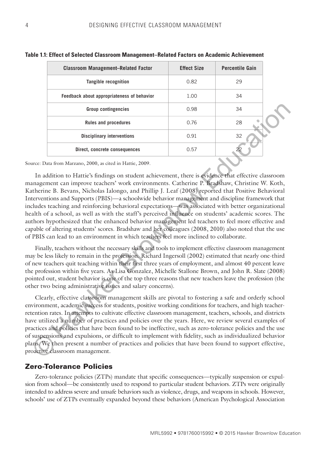| <b>Classroom Management-Related Factor</b> | <b>Effect Size</b> | <b>Percentile Gain</b> |
|--------------------------------------------|--------------------|------------------------|
| <b>Tangible recognition</b>                | 0.82               | 29                     |
| Feedback about appropriateness of behavior | 1.00               | 34                     |
| <b>Group contingencies</b>                 | 0.98               | 34                     |
| <b>Rules and procedures</b>                | 0.76               | 28                     |
| <b>Disciplinary interventions</b>          | 0.91               | 32                     |
| Direct, concrete consequences              | 0.57               |                        |

#### **Table 1.1: Effect of Selected Classroom Management–Related Factors on Academic Achievement**

Source: Data from Marzano, 2000, as cited in Hattie, 2009.

In addition to Hattie's findings on student achievement, there is evidence that effective classroom management can improve teachers' work environments. Catherine P. Bradshaw, Christine W. Koth, Katherine B. Bevans, Nicholas Ialongo, and Phillip J. Leaf (2008) reported that Positive Behavioral Interventions and Supports (PBIS)—a schoolwide behavior management and discipline framework that includes teaching and reinforcing behavioral expectations—was associated with better organizational health of a school, as well as with the staff's perceived influence on students' academic scores. The authors hypothesized that the enhanced behavior management led teachers to feel more effective and capable of altering students' scores. Bradshaw and her colleagues (2008, 2010) also noted that the use of PBIS can lead to an environment in which teachers feel more inclined to collaborate. **Source control of the CONDINGTIF (CONDINGTR)** Control output the particle and procedure and procedure of the particle in the source of the particle in the source of the particle in the source of the particle in the sourc

Finally, teachers without the necessary skills and tools to implement effective classroom management may be less likely to remain in the profession. Richard Ingersoll (2002) estimated that nearly one-third of new teachers quit teaching within their first three years of employment, and almost 40 percent leave the profession within five years. As Lisa Gonzalez, Michelle Stallone Brown, and John R. Slate (2008) pointed out, student behavior is one of the top three reasons that new teachers leave the profession (the other two being administrative issues and salary concerns).

Clearly, effective classroom management skills are pivotal to fostering a safe and orderly school environment, academic success for students, positive working conditions for teachers, and high teacherretention rates. In attempts to cultivate effective classroom management, teachers, schools, and districts have utilized a number of practices and policies over the years. Here, we review several examples of practices and policies that have been found to be ineffective, such as zero-tolerance policies and the use of suspensions and expulsions, or difficult to implement with fidelity, such as individualized behavior plans. We then present a number of practices and policies that have been found to support effective, proactive classroom management.

#### **Zero-Tolerance Policies**

Zero-tolerance policies (ZTPs) mandate that specific consequences—typically suspension or expulsion from school—be consistently used to respond to particular student behaviors. ZTPs were originally intended to address severe and unsafe behaviors such as violence, drugs, and weapons in schools. However, schools' use of ZTPs eventually expanded beyond these behaviors (American Psychological Association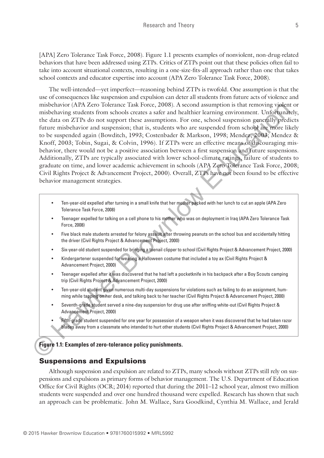[APA] Zero Tolerance Task Force, 2008). Figure 1.1 presents examples of nonviolent, non-drug-related behaviors that have been addressed using ZTPs. Critics of ZTPs point out that these policies often fail to take into account situational contexts, resulting in a one-size-fits-all approach rather than one that takes school contexts and educator expertise into account (APA Zero Tolerance Task Force, 2008).

The well-intended—yet imperfect—reasoning behind ZTPs is twofold. One assumption is that the use of consequences like suspension and expulsion can deter all students from future acts of violence and misbehavior (APA Zero Tolerance Task Force, 2008). A second assumption is that removing violent or misbehaving students from schools creates a safer and healthier learning environment. Unfortunately, the data on ZTPs do not support these assumptions. For one, school suspension generally predicts future misbehavior and suspension; that is, students who are suspended from school are more likely to be suspended again (Bowditch, 1993; Costenbader & Markson, 1998; Mendez, 2003; Mendez & Knoff, 2003; Tobin, Sugai, & Colvin, 1996). If ZTPs were an effective means of discouraging misbehavior, there would not be a positive association between a first suspension and future suspensions. Additionally, ZTPs are typically associated with lower school-climate ratings, failure of students to graduate on time, and lower academic achievement in schools (APA Zero Tolerance Task Force, 2008; Civil Rights Project & Advancement Project, 2000). Overall, ZTPs have not been found to be effective behavior management strategies. mishchavior (API Zero Tokerance Task Force, 2008). A second assumption is that removing rigident<br>insibehavior students from schools creates a safer and healthire learning environment. Uniformative the data on ZTPs do not s

- Ten-year-old expelled after turning in a small knife that her mother packed with her lunch to cut an apple (APA Zero Tolerance Task Force, 2008)
- Teenager expelled for talking on a cell phone to his mother who was on deployment in Iraq (APA Zero Tolerance Task Force, 2008)
- Five black male students arrested for felony assault after throwing peanuts on the school bus and accidentally hitting the driver (Civil Rights Project & Advancement Project, 2000)
- Six-year-old student suspended for bringing a toenail clipper to school (Civil Rights Project & Advancement Project, 2000)
- Kindergartener suspended for wearing a Halloween costume that included a toy ax (Civil Rights Project & Advancement Project, 2000)
- Teenager expelled after it was discovered that he had left a pocketknife in his backpack after a Boy Scouts camping trip (Civil Rights Project & Advancement Project, 2000)
- Ten-year-old student given numerous multi-day suspensions for violations such as failing to do an assignment, humming while tapping on her desk, and talking back to her teacher (Civil Rights Project & Advancement Project, 2000)
- Seventh-grade student served a nine-day suspension for drug use after sniffing white-out (Civil Rights Project & Advancement Project, 2000)
- Fifth-grade student suspended for one year for possession of a weapon when it was discovered that he had taken razor blades away from a classmate who intended to hurt other students (Civil Rights Project & Advancement Project, 2000)

#### **Figure 1.1: Examples of zero-tolerance policy punishments.**

#### **Suspensions and Expulsions**

Although suspension and expulsion are related to ZTPs, many schools without ZTPs still rely on suspensions and expulsions as primary forms of behavior management. The U.S. Department of Education Office for Civil Rights (OCR; 2014) reported that during the 2011–12 school year, almost two million students were suspended and over one hundred thousand were expelled. Research has shown that such an approach can be problematic. John M. Wallace, Sara Goodkind, Cynthia M. Wallace, and Jerald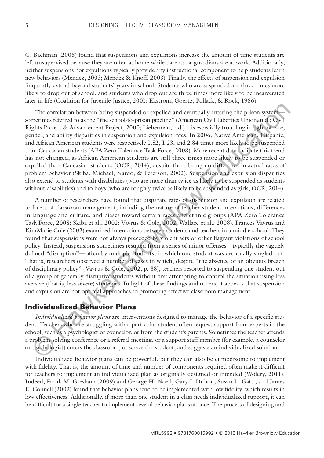G. Bachman (2008) found that suspensions and expulsions increase the amount of time students are left unsupervised because they are often at home while parents or guardians are at work. Additionally, neither suspensions nor expulsions typically provide any instructional component to help students learn new behaviors (Mendez, 2003; Mendez & Knoff, 2003). Finally, the effects of suspension and expulsion frequently extend beyond students' years in school. Students who are suspended are three times more likely to drop out of school, and students who drop out are three times more likely to be incarcerated later in life (Coalition for Juvenile Justice, 2001; Ekstrom, Goertz, Pollack, & Rock, 1986).

The correlation between being suspended or expelled and eventually entering the prison system sometimes referred to as the "the school-to-prison pipeline" (American Civil Liberties Union, n.d.; Civil Rights Project & Advancement Project, 2000; Lieberman, n.d.)—is especially troubling in light of race, gender, and ability disparities in suspension and expulsion rates. In 2006, Native American, Hispanic, and African American students were respectively 1.52, 1.23, and 2.84 times more likely to be suspended than Caucasian students (APA Zero Tolerance Task Force, 2008). More recent data indicate this trend has not changed, as African American students are still three times more likely to be suspended or expelled than Caucasian students (OCR, 2014), despite there being no difference in actual rates of problem behavior (Skiba, Michael, Nardo, & Peterson, 2002). Suspension and expulsion disparities also extend to students with disabilities (who are more than twice as likely to be suspended as students without disabilities) and to boys (who are roughly twice as likely to be suspended as girls; OCR, 2014).

A number of researchers have found that disparate rates of suspension and expulsion are related to facets of classroom management, including the nature of teacher-student interactions, differences in language and culture, and biases toward certain races and ethnic groups (APA Zero Tolerance Task Force, 2008; Skiba et al., 2002; Vavrus & Cole, 2002; Wallace et al., 2008). Frances Vavrus and KimMarie Cole (2002) examined interactions between students and teachers in a middle school. They found that suspensions were not always preceded by violent acts or other flagrant violations of school policy. Instead, suspensions sometimes resulted from a series of minor offenses—typically the vaguely defined "disruption"—often by multiple students, in which one student was eventually singled out. That is, researchers observed a number of cases in which, despite "the absence of an obvious breach of disciplinary policy" (Vavrus & Cole, 2002, p. 88), teachers resorted to suspending one student out of a group of generally disruptive students without first attempting to control the situation using less aversive (that is, less severe) strategies. In light of these findings and others, it appears that suspension and expulsion are not optimal approaches to promoting effective classroom management. The correlation between being suspended or expelled and eventually entering the prison system<br>methrase referred to as the "the school-to-prison pipeline" (American Civil Morition Equilibrity Froject & Advancement Project,

#### **Individualized Behavior Plans**

*Individualized behavior plans* are interventions designed to manage the behavior of a specific student. Teachers who are struggling with a particular student often request support from experts in the school, such as a psychologist or counselor, or from the student's parents. Sometimes the teacher attends a problem-solving conference or a referral meeting, or a support staff member (for example, a counselor or psychologist) enters the classroom, observes the student, and suggests an individualized solution.

Individualized behavior plans can be powerful, but they can also be cumbersome to implement with fidelity. That is, the amount of time and number of components required often make it difficult for teachers to implement an individualized plan as originally designed or intended (Wolery, 2011). Indeed, Frank M. Gresham (2009) and George H. Noell, Gary J. Duhon, Susan L. Gatti, and James E. Connell (2002) found that behavior plans tend to be implemented with low fidelity, which results in low effectiveness. Additionally, if more than one student in a class needs individualized support, it can be difficult for a single teacher to implement several behavior plans at once. The process of designing and